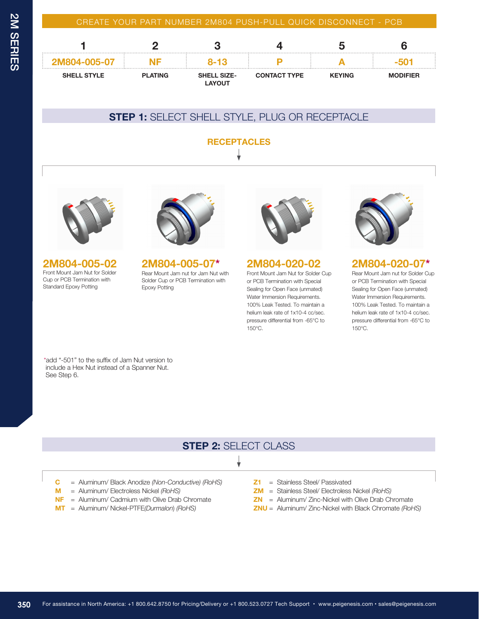#### CREATE YOUR PART NUMBER 2M804 PUSH-PULL QUICK DISCONNECT - PCB

| 2M804-005-07       |                | 8-13                                |                     |               |                 |
|--------------------|----------------|-------------------------------------|---------------------|---------------|-----------------|
| <b>SHELL STYLE</b> | <b>PLATING</b> | <b>SHELL SIZE-</b><br><b>LAYOUT</b> | <b>CONTACT TYPE</b> | <b>KEYING</b> | <b>MODIFIER</b> |

## **STEP 1:** SELECT SHELL STYLE, PLUG OR RECEPTACLE

**RECEPTACLES**



#### **2M804-005-02** Front Mount Jam Nut for Solder Cup or PCB Termination with Standard Epoxy Potting



**2M804-005-07\*** Rear Mount Jam nut for Jam Nut with

Solder Cup or PCB Termination with Epoxy Potting



**2M804-020-02** Front Mount Jam Nut for Solder Cup or PCB Termination with Special Sealing for Open Face (unmated) Water Immersion Requirements. 100% Leak Tested. To maintain a helium leak rate of 1x10-4 cc/sec. pressure differential from -65°C to



### **2M804-020-07\***

Rear Mount Jam nut for Solder Cup or PCB Termination with Special Sealing for Open Face (unmated) Water Immersion Requirements. 100% Leak Tested. To maintain a helium leak rate of 1x10-4 cc/sec. pressure differential from -65°C to 150°C.

\*add "-501" to the suffix of Jam Nut version to include a Hex Nut instead of a Spanner Nut. See Step 6.

# **STEP 2:** SELECT CLASS

150°C.

#### ┧

- **C** = Aluminum/ Black Anodize *(Non-Conductive) (RoHS)*
- **M** = Aluminum/ Electroless Nickel *(RoHS)*
- **NF** = Aluminum/ Cadmium with Olive Drab Chromate
- **MT** = Aluminum/ Nickel-PTFE*(Durmalon*) *(RoHS)*
- **Z1** = Stainless Steel/ Passivated
- **ZM** = Stainless Steel/ Electroless Nickel *(RoHS)*
- **ZN** = Aluminum/ Zinc-Nickel with Olive Drab Chromate
- **ZNU** = Aluminum/ Zinc-Nickel with Black Chromate *(RoHS)*